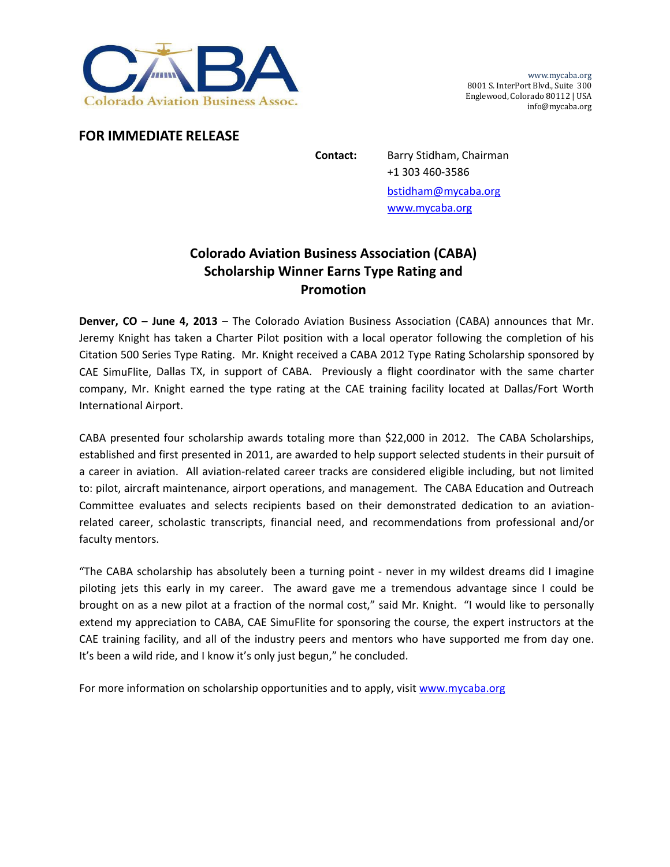

www.mycaba.org 8001 S. InterPort Blvd., Suite 300 Englewood, Colorado 80112 | USA info@mycaba.org

## **FOR IMMEDIATE RELEASE**

**Contact:** Barry Stidham, Chairman +1 303 460‐3586 bstidham@mycaba.org www.mycaba.org

## **Colorado Aviation Business Association (CABA) Scholarship Winner Earns Type Rating and Promotion**

**Denver, CO – June 4, 2013** – The Colorado Aviation Business Association (CABA) announces that Mr. Jeremy Knight has taken a Charter Pilot position with a local operator following the completion of his Citation 500 Series Type Rating. Mr. Knight received a CABA 2012 Type Rating Scholarship sponsored by CAE SimuFlite, Dallas TX, in support of CABA. Previously a flight coordinator with the same charter company, Mr. Knight earned the type rating at the CAE training facility located at Dallas/Fort Worth International Airport.

CABA presented four scholarship awards totaling more than \$22,000 in 2012. The CABA Scholarships, established and first presented in 2011, are awarded to help support selected students in their pursuit of a career in aviation. All aviation‐related career tracks are considered eligible including, but not limited to: pilot, aircraft maintenance, airport operations, and management. The CABA Education and Outreach Committee evaluates and selects recipients based on their demonstrated dedication to an aviation‐ related career, scholastic transcripts, financial need, and recommendations from professional and/or faculty mentors.

"The CABA scholarship has absolutely been a turning point ‐ never in my wildest dreams did I imagine piloting jets this early in my career. The award gave me a tremendous advantage since I could be brought on as a new pilot at a fraction of the normal cost," said Mr. Knight. "I would like to personally extend my appreciation to CABA, CAE SimuFlite for sponsoring the course, the expert instructors at the CAE training facility, and all of the industry peers and mentors who have supported me from day one. It's been a wild ride, and I know it's only just begun," he concluded.

For more information on scholarship opportunities and to apply, visit www.mycaba.org